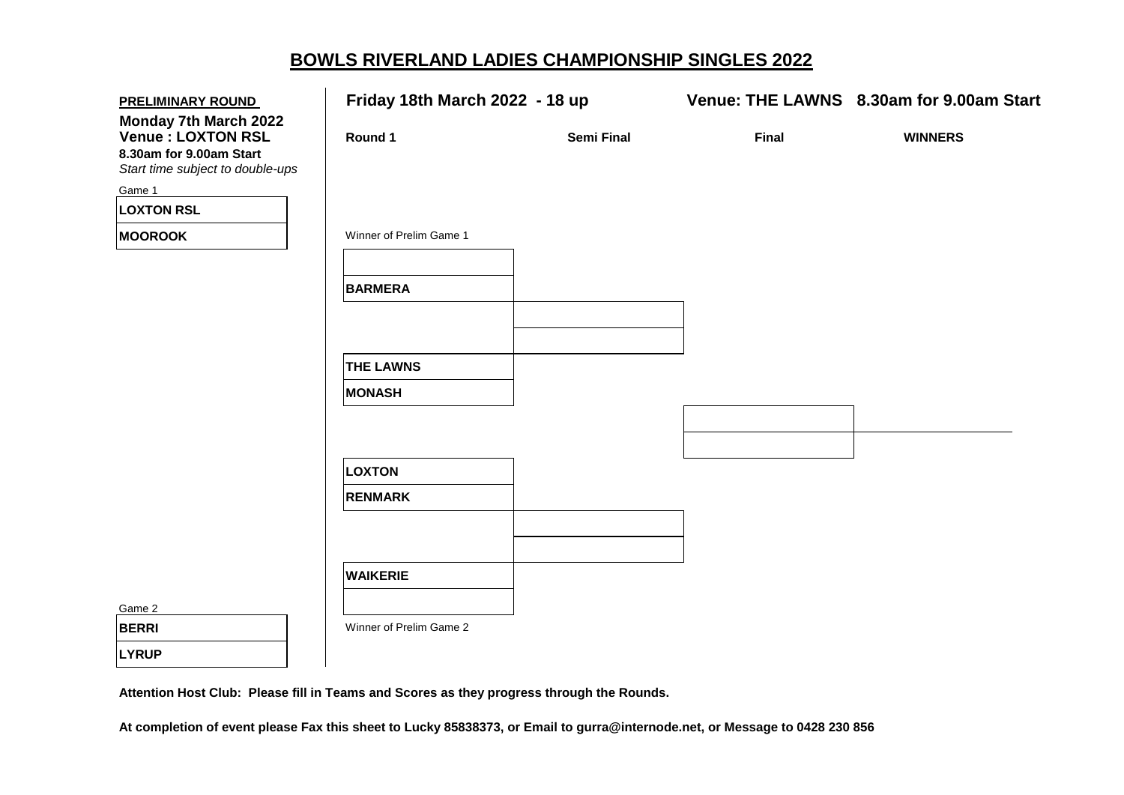## **BOWLS RIVERLAND LADIES CHAMPIONSHIP SINGLES 2022**

| <b>PRELIMINARY ROUND</b>                                                                                          |                         | Friday 18th March 2022 - 18 up |              | Venue: THE LAWNS 8.30am for 9.00am Start |
|-------------------------------------------------------------------------------------------------------------------|-------------------------|--------------------------------|--------------|------------------------------------------|
| <b>Monday 7th March 2022</b><br>Venue : LOXTON RSL<br>8.30am for 9.00am Start<br>Start time subject to double-ups | Round 1                 | Semi Final                     | <b>Final</b> | <b>WINNERS</b>                           |
| Game 1                                                                                                            |                         |                                |              |                                          |
| <b>LOXTON RSL</b>                                                                                                 |                         |                                |              |                                          |
| <b>MOOROOK</b>                                                                                                    | Winner of Prelim Game 1 |                                |              |                                          |
|                                                                                                                   | <b>BARMERA</b>          |                                |              |                                          |
|                                                                                                                   | <b>THE LAWNS</b>        |                                |              |                                          |
|                                                                                                                   | <b>MONASH</b>           |                                |              |                                          |
|                                                                                                                   |                         |                                |              |                                          |
|                                                                                                                   | LOXTON                  |                                |              |                                          |
|                                                                                                                   | <b>RENMARK</b>          |                                |              |                                          |
|                                                                                                                   |                         |                                |              |                                          |
|                                                                                                                   | <b>WAIKERIE</b>         |                                |              |                                          |
| Game 2                                                                                                            |                         |                                |              |                                          |
| <b>BERRI</b>                                                                                                      | Winner of Prelim Game 2 |                                |              |                                          |
| <b>LYRUP</b>                                                                                                      |                         |                                |              |                                          |

**Attention Host Club: Please fill in Teams and Scores as they progress through the Rounds.**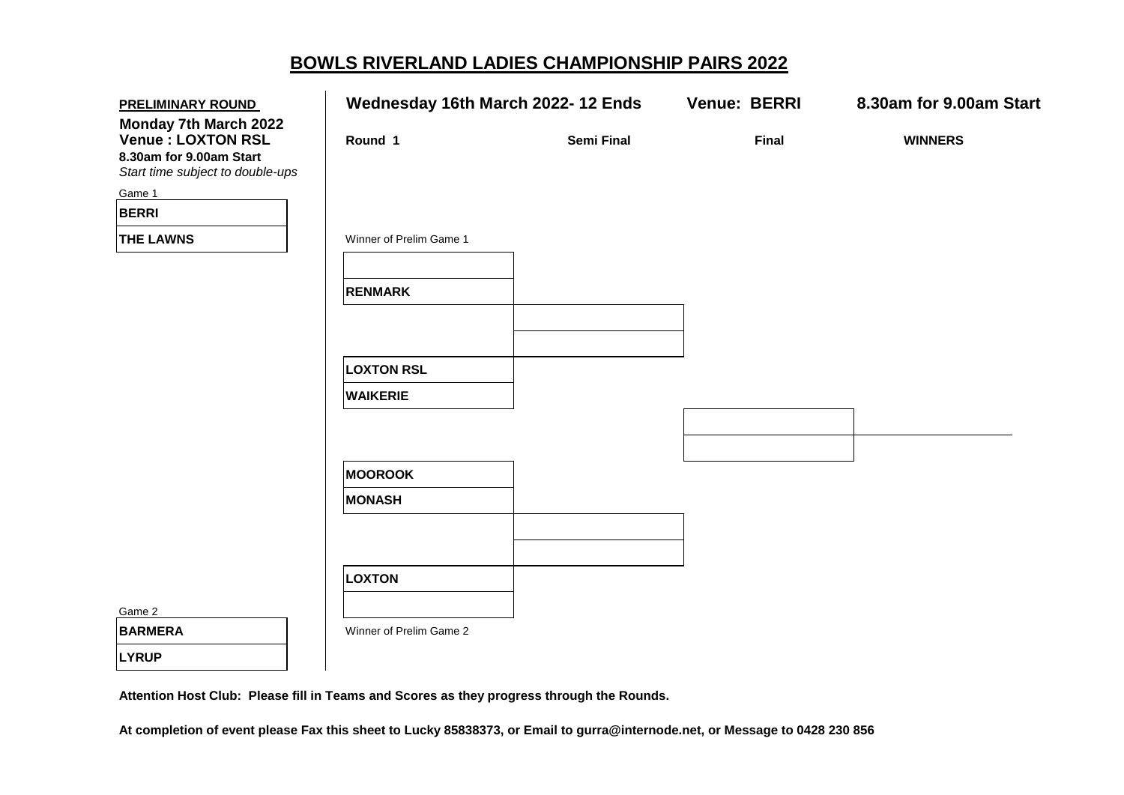## **BOWLS RIVERLAND LADIES CHAMPIONSHIP PAIRS 2022**

| <b>PRELIMINARY ROUND</b>                                                                                  | Wednesday 16th March 2022-12 Ends |                   | <b>Venue: BERRI</b> | 8.30am for 9.00am Start |
|-----------------------------------------------------------------------------------------------------------|-----------------------------------|-------------------|---------------------|-------------------------|
| Monday 7th March 2022<br>Venue: LOXTON RSL<br>8.30am for 9.00am Start<br>Start time subject to double-ups | Round 1                           | <b>Semi Final</b> | <b>Final</b>        | <b>WINNERS</b>          |
| Game 1                                                                                                    |                                   |                   |                     |                         |
| <b>BERRI</b>                                                                                              |                                   |                   |                     |                         |
| <b>THE LAWNS</b>                                                                                          | Winner of Prelim Game 1           |                   |                     |                         |
|                                                                                                           |                                   |                   |                     |                         |
|                                                                                                           | <b>RENMARK</b>                    |                   |                     |                         |
|                                                                                                           |                                   |                   |                     |                         |
|                                                                                                           |                                   |                   |                     |                         |
|                                                                                                           | <b>LOXTON RSL</b>                 |                   |                     |                         |
|                                                                                                           | <b>WAIKERIE</b>                   |                   |                     |                         |
|                                                                                                           |                                   |                   |                     |                         |
|                                                                                                           |                                   |                   |                     |                         |
|                                                                                                           | <b>MOOROOK</b>                    |                   |                     |                         |
|                                                                                                           | <b>MONASH</b>                     |                   |                     |                         |
|                                                                                                           |                                   |                   |                     |                         |
|                                                                                                           |                                   |                   |                     |                         |
|                                                                                                           | LOXTON                            |                   |                     |                         |
|                                                                                                           |                                   |                   |                     |                         |
| Game 2                                                                                                    |                                   |                   |                     |                         |
| <b>BARMERA</b>                                                                                            | Winner of Prelim Game 2           |                   |                     |                         |
| <b>LYRUP</b>                                                                                              |                                   |                   |                     |                         |

**Attention Host Club: Please fill in Teams and Scores as they progress through the Rounds.**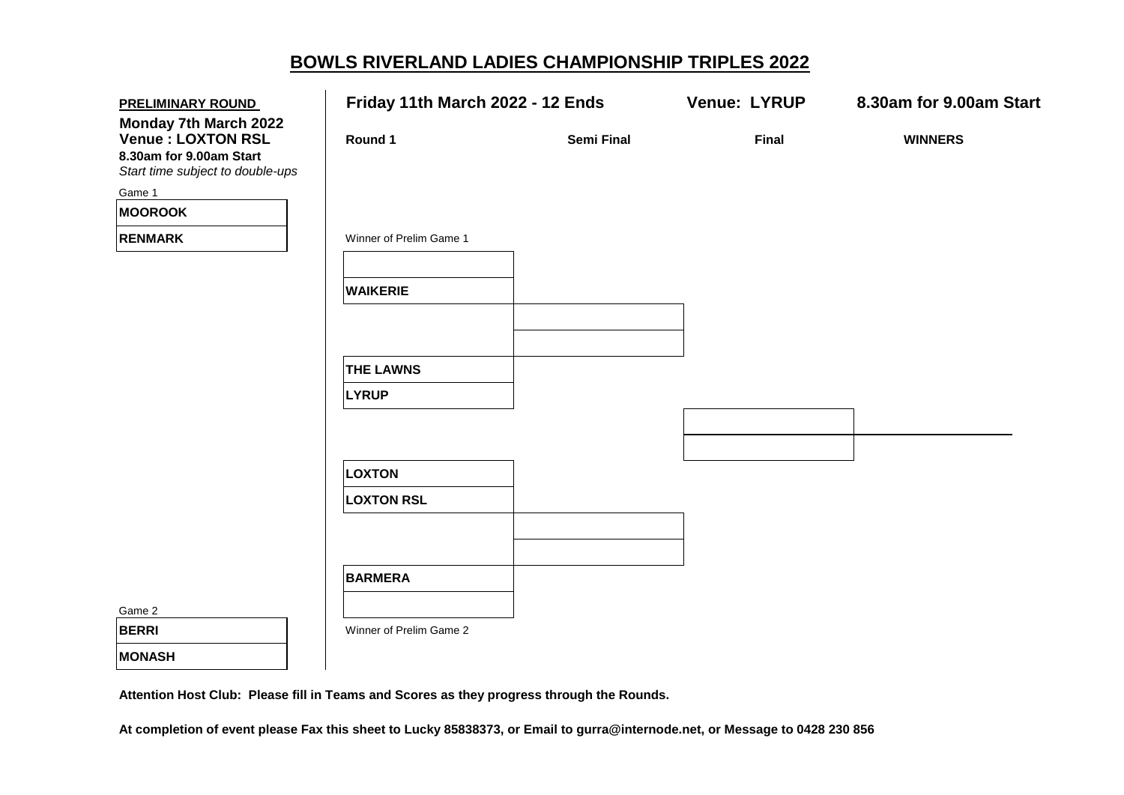## **BOWLS RIVERLAND LADIES CHAMPIONSHIP TRIPLES 2022**

| <b>PRELIMINARY ROUND</b>                                                                                                          | Friday 11th March 2022 - 12 Ends |                   | <b>Venue: LYRUP</b> | 8.30am for 9.00am Start |
|-----------------------------------------------------------------------------------------------------------------------------------|----------------------------------|-------------------|---------------------|-------------------------|
| <b>Monday 7th March 2022</b><br><b>Venue: LOXTON RSL</b><br>8.30am for 9.00am Start<br>Start time subject to double-ups<br>Game 1 | Round 1                          | <b>Semi Final</b> | <b>Final</b>        | <b>WINNERS</b>          |
| <b>MOOROOK</b>                                                                                                                    |                                  |                   |                     |                         |
| <b>RENMARK</b>                                                                                                                    | Winner of Prelim Game 1          |                   |                     |                         |
|                                                                                                                                   | <b>WAIKERIE</b>                  |                   |                     |                         |
|                                                                                                                                   | <b>THE LAWNS</b>                 |                   |                     |                         |
|                                                                                                                                   | <b>LYRUP</b>                     |                   |                     |                         |
|                                                                                                                                   |                                  |                   |                     |                         |
|                                                                                                                                   | <b>LOXTON</b>                    |                   |                     |                         |
|                                                                                                                                   | <b>LOXTON RSL</b>                |                   |                     |                         |
|                                                                                                                                   |                                  |                   |                     |                         |
|                                                                                                                                   | <b>BARMERA</b>                   |                   |                     |                         |
| Game 2                                                                                                                            |                                  |                   |                     |                         |
| <b>BERRI</b>                                                                                                                      | Winner of Prelim Game 2          |                   |                     |                         |
| <b>MONASH</b>                                                                                                                     |                                  |                   |                     |                         |

**Attention Host Club: Please fill in Teams and Scores as they progress through the Rounds.**